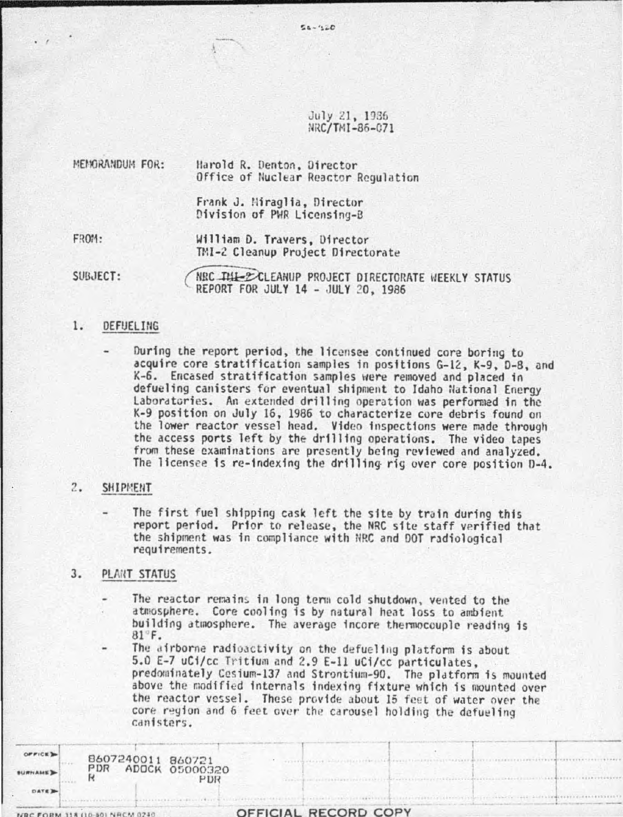July 21, 1936 IIRC/TMI-86-071

 $54 - 420$ 

| MEMORANDUM FOR: | Harold R. Denton, Director<br>Office of Nuclear Reactor Regulation |
|-----------------|--------------------------------------------------------------------|
|                 | Frank J. Miraglia, Director<br>Division of PWR Licensing-B         |
| FROM:           | William D. Travers, Director<br>TMI-2 Cleanup Project Directorate  |

SUBJECT: NRC THE ECLEANUP PROJECT DIRECTORATE WEEKLY STATUS REPORT FOR JULY 14 - JULY 2D, 1986

# 1. DEFUELING

. ,

During the report period, the licensee continued core boring to acquire core stratification samples in positions G-12, K-9, D-8, and K-6. Encased stratification samples were removed and placed in defueling canisters for eventual shipment to Idaho National Energy Laboratories. An extended drilling operation was performed in the K-9 position on July 16, 1986 to characterize core debris found on the lower reactor vessel head. Video inspections were made through the access ports left by the drilling operations. The video tapes from these examinations are presently being reviewed and analyzed. The licensee is re-indexfng the drilling rig over core position 0-4.

### 2. SHIPMENT

The first fuel shipping cask left the site by train during this report period. Prior to release, the NRC site staff verified that the shipment was in compliance with NRC and DOT radiological requirements.

# 3. PLANT STATUS

The reactor remains in long term cold shutdown, vented to the atmosphere. Core cooling is by natural heat loss to ambient building atmosphere. The average incore thermocouple reading is 81 F.

The airborne radioactivity on the defueling platform is about 5.0 E-7 uCi/cc Tritium and 2.9 E-11 uCi/cc particulates. predominately Cesium-137 and Strontium-90. The platform is mounted above the modified internals indexing fixture which is mounted over the reactor vessel. These provide about 15 feet of water over the core region and 6 feet over the carousel holding the defueling<br>canisters.

*STACLESSATION* 

|                |                                         |     |  | OFFICIAL RECORD COPY |  |  |  |
|----------------|-----------------------------------------|-----|--|----------------------|--|--|--|
| DATE 3         |                                         |     |  |                      |  |  |  |
| <b>BURNAME</b> | 8607240011 860721<br>PDR ADOCK 05000320 | PDR |  |                      |  |  |  |
|                |                                         |     |  |                      |  |  |  |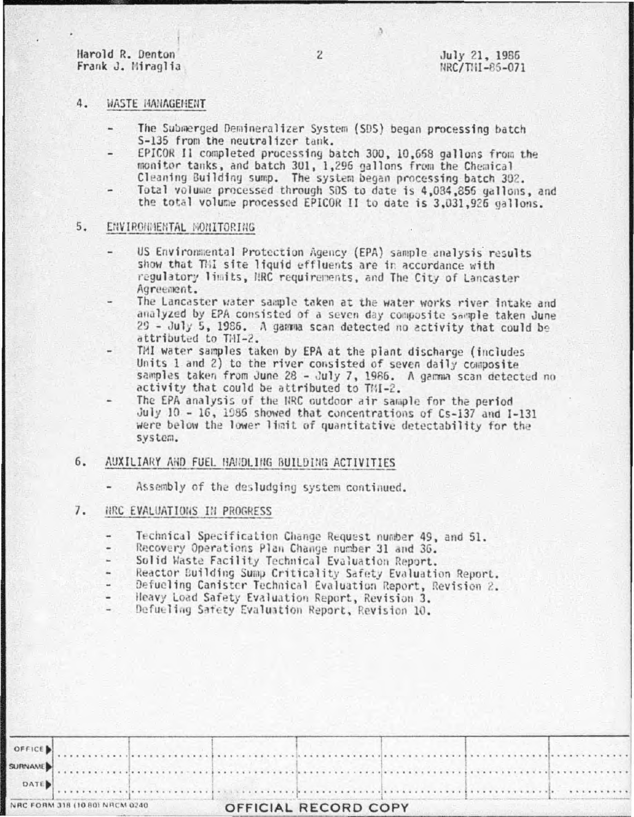Harold R. Denton Frank J. Miraglia

#### 4. WASTE MANAGEMENT

- The Submerged Demineralizer System (SDS) began processing batch S-135 from the neutralizer tank.
- EPICOR Il completed processing batch 300, 10,668 gallons from the monitor tanks, and batch 301, 1,296 gallons from the Chemical Cleaning Building sump. The system began processing batch 302.
- Total volume processed through SDS to date is 4,084,856 gallons, and the total volume processed EPICOR II to date is 3,031,926 gallons.

#### 5. ENVIRONMENTAL MONITORING

- US Environmental Protection Agency (EPA) sample analysis results show that Thi site liquid effluents are in accordance with regulatory limits, NRC requirements, and The City of Lancaster Agreement.
- The Lancaster water sample taken at the water works river intake and analyzed by EPA consisted of a seven day composite sample taken June 29 - July 5, 1986. A gamma scan detected no activity that could be attributed to THI-2.
- TMI water samples taken by EPA at the plant discharge (includes Units 1 and 2) to the river consisted of seven daily composite samples taken from June 28 - July 7, 1986. A gamma scan detected no activity that could be attributed to TMI-2.
- The EPA analysis of the NRC outdoor air sample for the period July 10 - 16, 1986 showed that concentrations of Cs-137 and I-131 were below the lower limit of quantitative detectability for the system.

### $6.$ AUXILIARY AND FUEL HANDLING BUILDING ACTIVITIES

Assembly of the desludging system continued.

#### 7. ARC EVALUATIONS IN PROGRESS

- Technical Specification Change Request number 49, and 51.
- Recovery Operations Plan Change number 31 and 36. .
- Solid Waste Facility Technical Evaluation Report.
- Reactor Building Sump Criticality Safety Evaluation Report.
- Defueling Canister Technical Evaluation Report, Revision 2.
- Heavy Load Safety Evaluation Report, Revision 3.
- Defueling Safety Evaluation Report, Revision 10.

|  |  | OFFICE )<br>SURNAME $\blacksquare$ |
|--|--|------------------------------------|

ð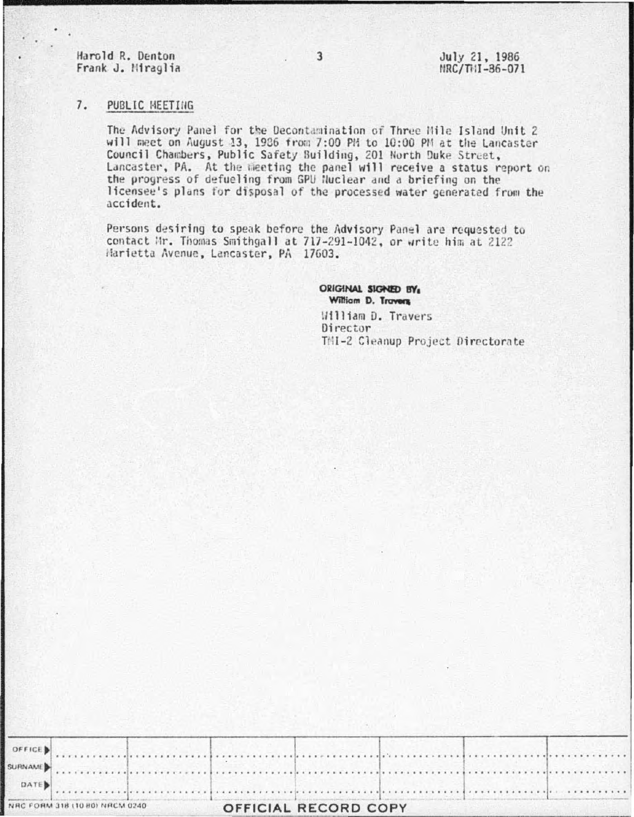Harold R. Denton Frank J. Miraglia

#### $7.$ PUBLIC MEETING

The Advisory Panel for the Decontamination of Three Hile Island Unit 2 will meet on August 13, 1986 from 7:00 PM to 10:00 PM at the Lancaster Council Chambers, Public Safety Building, 201 North Duke Street, Lancaster, PA. At the meeting the panel will receive a status report on the progress of defueling from GPU Nuclear and a briefing on the licensee's plans for disposal of the processed water generated from the accident.

Persons desiring to speak before the Advisory Panel are requested to contact Mr. Thomas Smithgall at 717-291-1042, or write him at 2122 Harietta Avenue, Lancaster, PA 17603.

> ORIGINAL SIGNED BY William D. Travers

William D. Travers Director TMI-2 Cleanup Project Directorate

| VRC FORM 318 (10 80) NRCM 0240 |  |  | OFFICIAL RECORD COPY |  |  |  |  |  |  |  |
|--------------------------------|--|--|----------------------|--|--|--|--|--|--|--|
| DATE)                          |  |  |                      |  |  |  |  |  |  |  |
|                                |  |  |                      |  |  |  |  |  |  |  |
|                                |  |  |                      |  |  |  |  |  |  |  |